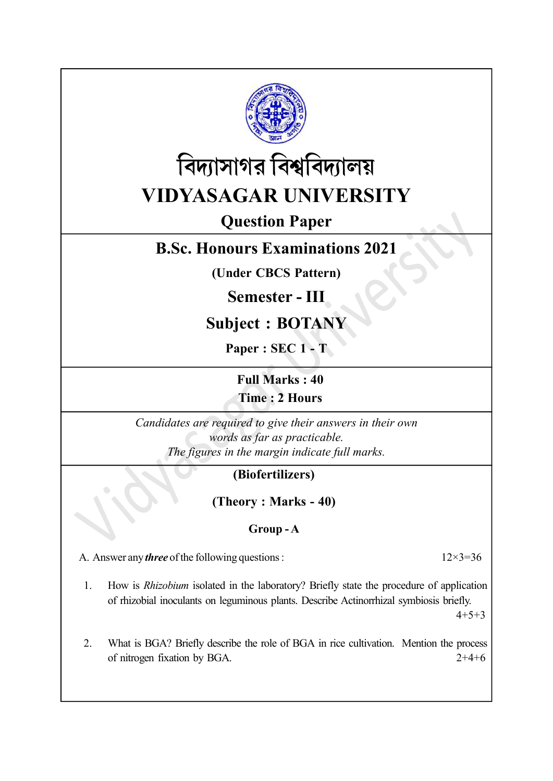



# Question Paper

## B.Sc. Honours Examinations 2021

(Under CBCS Pattern)

Semester - III

## Subject : BOTANY

Paper : SEC 1 - T

Full Marks : 40

Time : 2 Hours

Candidates are required to give their answers in their own words as far as practicable. The figures in the margin indicate full marks.

## (Biofertilizers)

(Theory : Marks - 40)

#### Group - A

A. Answer any *three* of the following questions :  $12 \times 3 = 36$ 

1. How is Rhizobium isolated in the laboratory? Briefly state the procedure of application of rhizobial inoculants on leguminous plants. Describe Actinorrhizal symbiosis briefly.

 $4+5+3$ 

2. What is BGA? Briefly describe the role of BGA in rice cultivation. Mention the process of nitrogen fixation by BGA. 2+4+6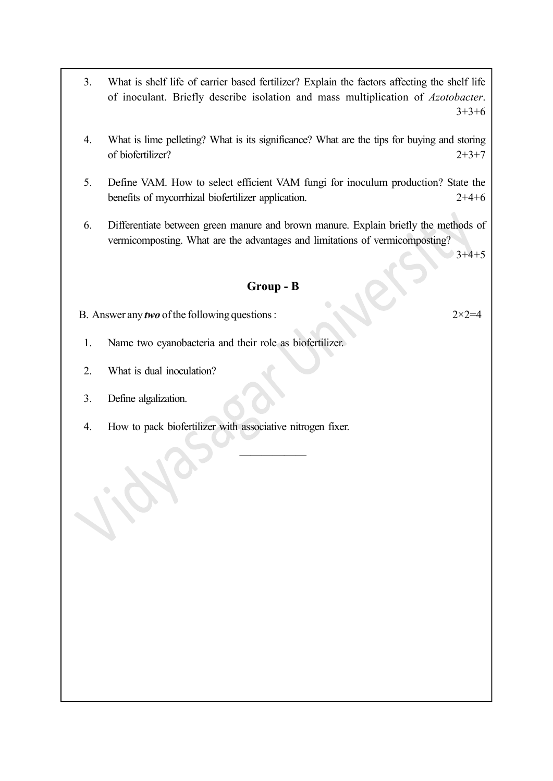- 3. What is shelf life of carrier based fertilizer? Explain the factors affecting the shelf life of inoculant. Briefly describe isolation and mass multiplication of Azotobacter.  $3+3+6$
- 4. What is lime pelleting? What is its significance? What are the tips for buying and storing of biofertilizer? 2+3+7
- 5. Define VAM. How to select efficient VAM fungi for inoculum production? State the benefits of mycorrhizal biofertilizer application. 2+4+6
- 6. Differentiate between green manure and brown manure. Explain briefly the methods of vermicomposting. What are the advantages and limitations of vermicomposting?

 $3+4+5$ 

Group - B

——————

- B. Answer any *two* of the following questions :  $2 \times 2 = 4$
- 1. Name two cyanobacteria and their role as biofertilizer.
- 2. What is dual inoculation?
- 3. Define algalization.
- 4. How to pack biofertilizer with associative nitrogen fixer.